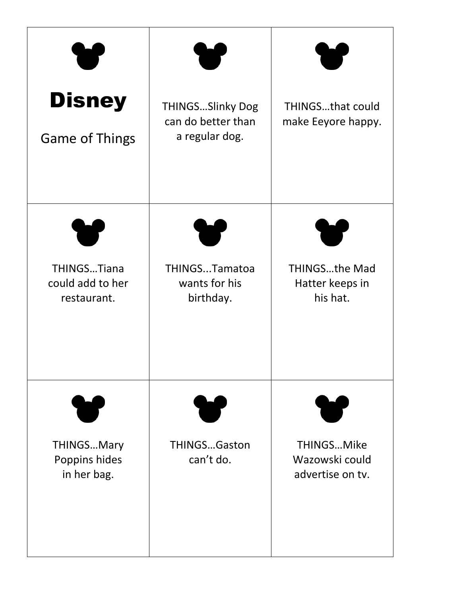| <b>Disney</b><br><b>Game of Things</b>            | <b>THINGSSlinky Dog</b><br>can do better than<br>a regular dog. | THINGSthat could<br>make Eeyore happy.              |
|---------------------------------------------------|-----------------------------------------------------------------|-----------------------------------------------------|
| THINGSTiana<br>could add to her<br>restaurant.    | THINGSTamatoa<br>wants for his<br>birthday.                     | <b>THINGSthe Mad</b><br>Hatter keeps in<br>his hat. |
| <b>THINGSMary</b><br>Poppins hides<br>in her bag. | <b>THINGSGaston</b><br>can't do.                                | THINGSMike<br>Wazowski could<br>advertise on tv.    |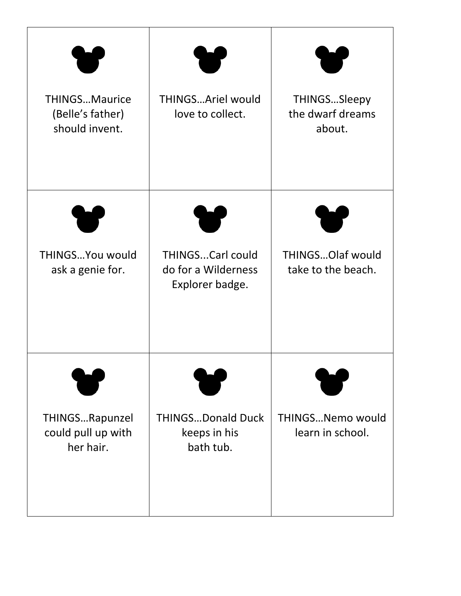| <b>THINGSMaurice</b><br>(Belle's father)<br>should invent. | <b>THINGSAriel would</b><br>love to collect.                      | THINGSSleepy<br>the dwarf dreams<br>about.    |
|------------------------------------------------------------|-------------------------------------------------------------------|-----------------------------------------------|
| THINGS You would<br>ask a genie for.                       | <b>THINGSCarl could</b><br>do for a Wilderness<br>Explorer badge. | <b>THINGSOlaf would</b><br>take to the beach. |
| THINGSRapunzel<br>could pull up with<br>her hair.          | <b>THINGSDonald Duck</b><br>keeps in his<br>bath tub.             | <b>THINGSNemo would</b><br>learn in school.   |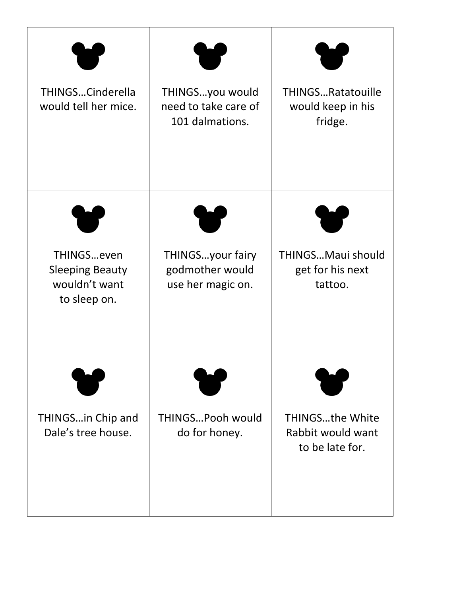| THINGSCinderella<br>would tell her mice.                              | THINGSyou would<br>need to take care of<br>101 dalmations. | <b>THINGSRatatouille</b><br>would keep in his<br>fridge.       |
|-----------------------------------------------------------------------|------------------------------------------------------------|----------------------------------------------------------------|
| THINGSeven<br><b>Sleeping Beauty</b><br>wouldn't want<br>to sleep on. | THINGSyour fairy<br>godmother would<br>use her magic on.   | THINGSMaui should<br>get for his next<br>tattoo.               |
| THINGSin Chip and<br>Dale's tree house.                               | THINGSPooh would<br>do for honey.                          | <b>THINGSthe White</b><br>Rabbit would want<br>to be late for. |